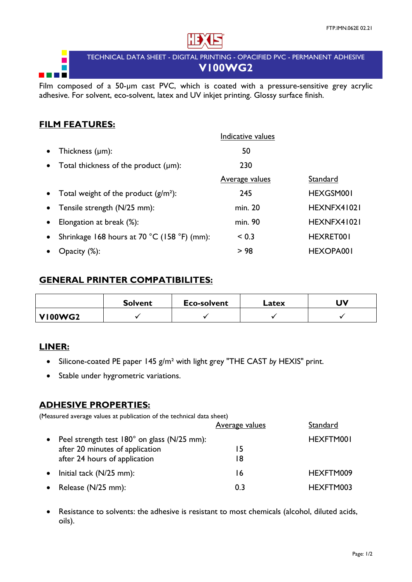

TECHNICAL DATA SHEET - DIGITAL PRINTING - OPACIFIED PVC - PERMANENT ADHESIVE **V100WG2**

Film composed of a 50-µm cast PVC, which is coated with a pressure-sensitive grey acrylic adhesive. For solvent, eco-solvent, latex and UV inkjet printing. Glossy surface finish.

## **FILM FEATURES:**

E **The Company** 

|           |                                             | Indicative values     |                  |
|-----------|---------------------------------------------|-----------------------|------------------|
| $\bullet$ | Thickness $(\mu m)$ :                       | 50                    |                  |
| $\bullet$ | Total thickness of the product $(\mu m)$ :  | 230                   |                  |
|           |                                             | <b>Average values</b> | Standard         |
|           | • Total weight of the product $(g/m^2)$ :   | 245                   | HEXGSM001        |
| $\bullet$ | Tensile strength (N/25 mm):                 | min. 20               | HEXNFX41021      |
| $\bullet$ | Elongation at break (%):                    | min. 90               | HEXNFX41021      |
| $\bullet$ | Shrinkage 168 hours at 70 °C (158 °F) (mm): | < 0.3                 | HEXRET001        |
|           | $O$ pacity $(\%)$ :                         | > 98                  | <b>HEXOPA001</b> |

#### **GENERAL PRINTER COMPATIBILITES:**

|                | <b>Solvent</b> | <b>Eco-solvent</b> | Latex | UV |
|----------------|----------------|--------------------|-------|----|
| <b>VI00WG2</b> |                |                    |       |    |

## **LINER:**

- Silicone-coated PE paper 145 g/m² with light grey "THE CAST *by* HEXIS" print.
- Stable under hygrometric variations.

## **ADHESIVE PROPERTIES:**

(Measured average values at publication of the technical data sheet)

|                                               | <b>Average values</b> | Standard  |
|-----------------------------------------------|-----------------------|-----------|
| • Peel strength test 180° on glass (N/25 mm): |                       | HEXFTM001 |
| after 20 minutes of application               | 15                    |           |
| after 24 hours of application                 | 18                    |           |
| $\bullet$ Initial tack (N/25 mm):             | 16                    | HEXFTM009 |
| • Release $(N/25$ mm):                        | 0.3                   | HEXFTM003 |

• Resistance to solvents: the adhesive is resistant to most chemicals (alcohol, diluted acids, oils).